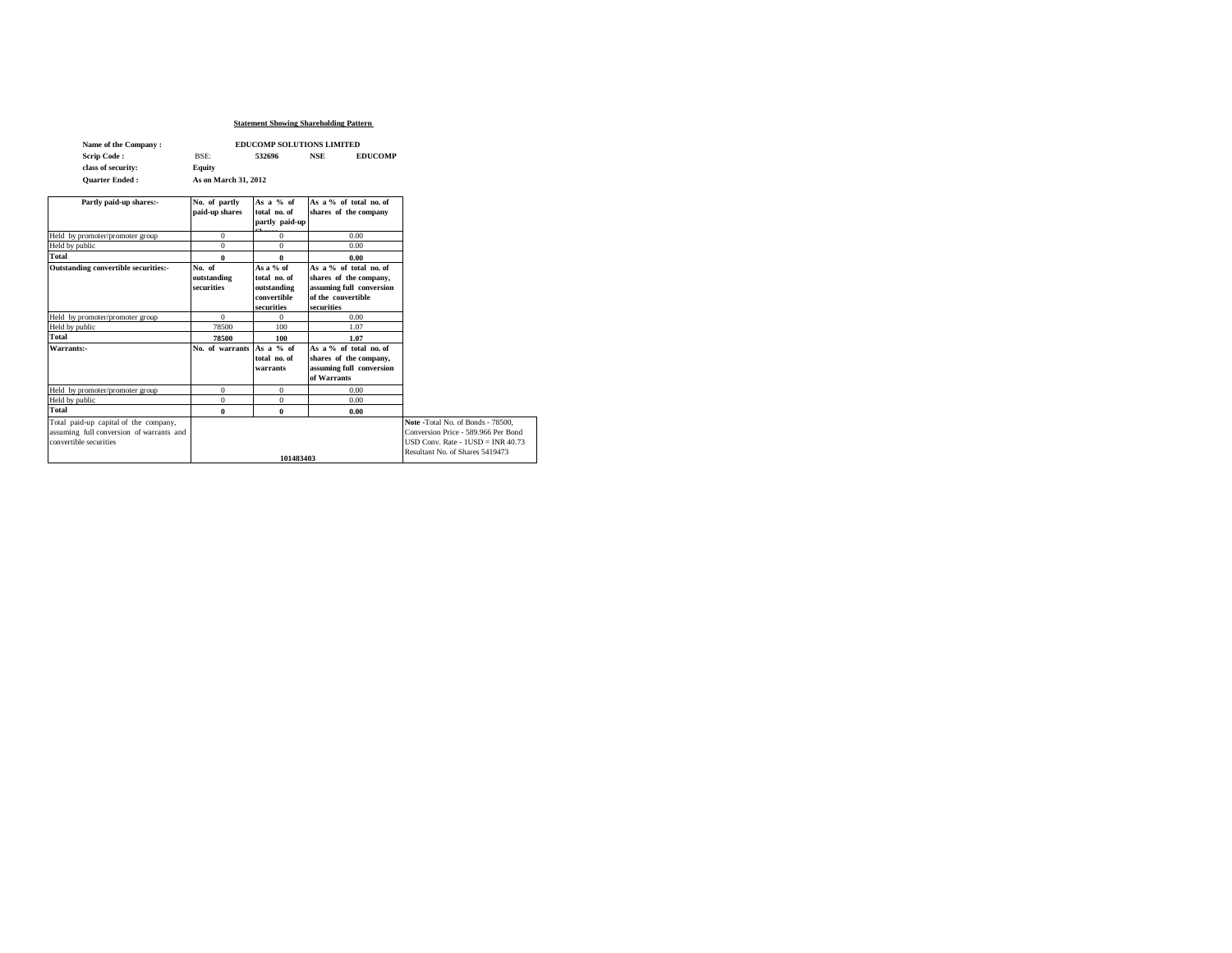### **Statement Showing Shareholding Pattern**

| Name of the Company:  | <b>EDUCOMP SOLUTIONS LIMITED</b> |        |            |                |  |
|-----------------------|----------------------------------|--------|------------|----------------|--|
| <b>Scrip Code:</b>    | <b>BSE:</b>                      | 532696 | <b>NSE</b> | <b>EDUCOMP</b> |  |
| class of security:    | Equity                           |        |            |                |  |
| <b>Ouarter Ended:</b> | As on March 31, 2012             |        |            |                |  |

| Partly paid-up shares:-                                                                                     | No. of partly<br>paid-up shares     | As a $%$ of<br>total no. of<br>partly paid-up                           | As a % of total no. of<br>shares of the company                                                                  |                                                                                                                                                    |
|-------------------------------------------------------------------------------------------------------------|-------------------------------------|-------------------------------------------------------------------------|------------------------------------------------------------------------------------------------------------------|----------------------------------------------------------------------------------------------------------------------------------------------------|
| Held by promoter/promoter group                                                                             | $\Omega$                            | $\Omega$                                                                | 0.00                                                                                                             |                                                                                                                                                    |
| Held by public                                                                                              | $\Omega$                            | $\Omega$                                                                | 0.00                                                                                                             |                                                                                                                                                    |
| Total                                                                                                       | 0                                   | 0                                                                       | 0.00                                                                                                             |                                                                                                                                                    |
| Outstanding convertible securities:-                                                                        | No. of<br>outstanding<br>securities | As a $%$ of<br>total no. of<br>outstanding<br>convertible<br>securities | As a % of total no. of<br>shares of the company,<br>assuming full conversion<br>of the convertible<br>securities |                                                                                                                                                    |
| Held by promoter/promoter group                                                                             | $\Omega$                            | $\Omega$                                                                | 0.00                                                                                                             |                                                                                                                                                    |
| Held by public                                                                                              | 78500                               | 100                                                                     | 1.07                                                                                                             |                                                                                                                                                    |
| Total                                                                                                       | 78500                               | 100                                                                     | 1.07                                                                                                             |                                                                                                                                                    |
| Warrants:-                                                                                                  | No. of warrants                     | As a % of<br>total no. of<br>warrants                                   | As a % of total no. of<br>shares of the company,<br>assuming full conversion<br>of Warrants                      |                                                                                                                                                    |
| Held by promoter/promoter group                                                                             | $\Omega$                            | $\Omega$                                                                | 0.00                                                                                                             |                                                                                                                                                    |
| Held by public                                                                                              | $\Omega$                            | $\mathbf{0}$                                                            | 0.00                                                                                                             |                                                                                                                                                    |
| Total                                                                                                       | 0                                   | 0                                                                       | 0.00                                                                                                             |                                                                                                                                                    |
| Total paid-up capital of the company,<br>assuming full conversion of warrants and<br>convertible securities |                                     | 101483403                                                               |                                                                                                                  | Note -Total No. of Bonds - 78500.<br>Conversion Price - 589.966 Per Bond<br>$USD Conv. Rate - HISD = INR 40.73$<br>Resultant No. of Shares 5419473 |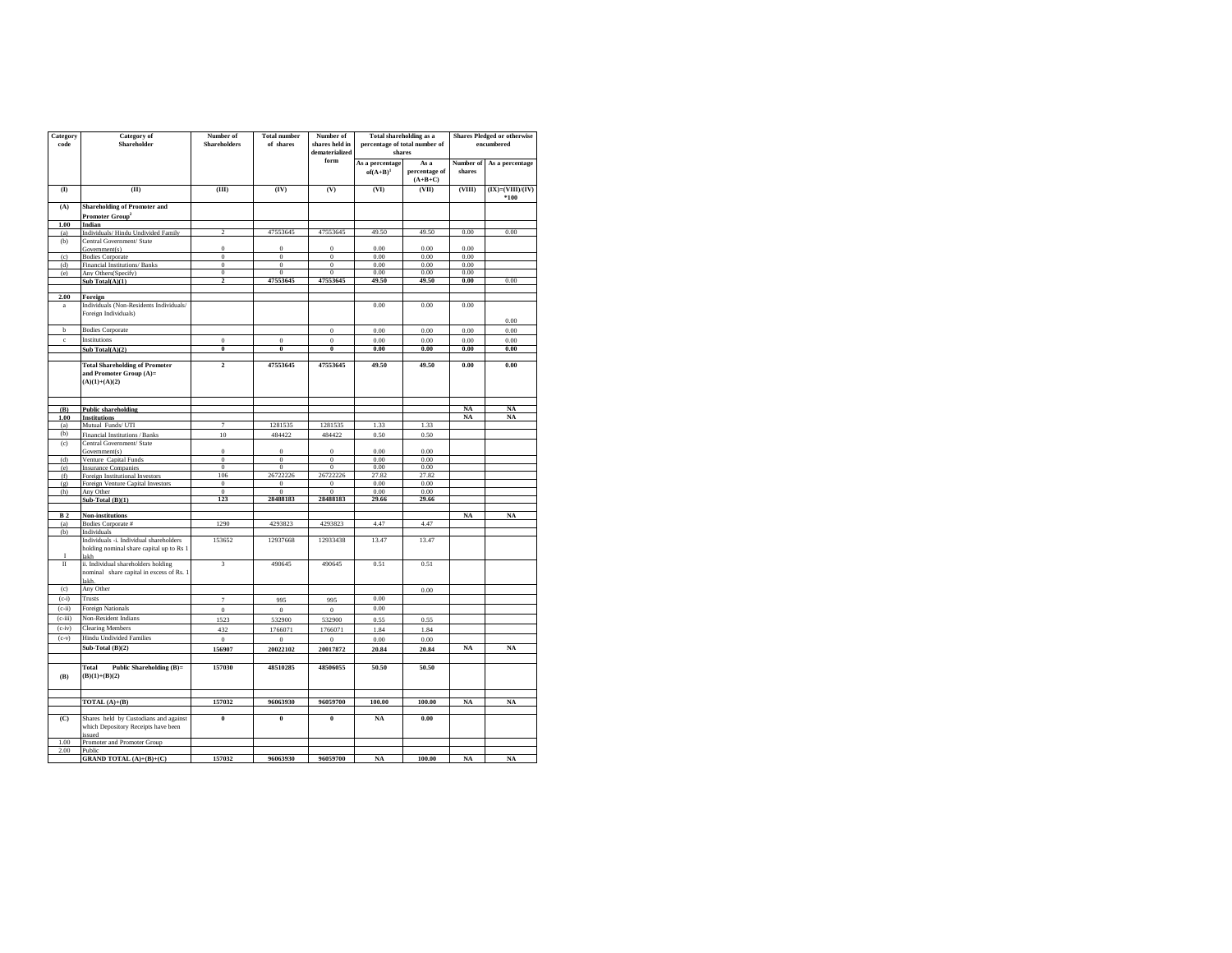| Category<br>code         | <b>Category</b> of<br>Shareholder                                                                          | Number of<br><b>Shareholders</b> | <b>Total number</b><br>of shares | Number of<br>shares held in<br>dematerialized | Total shareholding as a<br>percentage of total number of<br>shares |                                    | <b>Shares Pledged or otherwise</b><br>encumbered |                                |
|--------------------------|------------------------------------------------------------------------------------------------------------|----------------------------------|----------------------------------|-----------------------------------------------|--------------------------------------------------------------------|------------------------------------|--------------------------------------------------|--------------------------------|
|                          |                                                                                                            |                                  |                                  | form                                          | As a percentage<br>$of(A+B)^{1}$                                   | As a<br>percentage of<br>$(A+B+C)$ | Number of<br>shares                              | As a percentage                |
| (1)                      | (II)                                                                                                       | (III)                            | (IV)                             | (V)                                           | (VI)                                                               | (VII)                              | (VIII)                                           | $(IX) = (VIII)/(IV)$<br>$*100$ |
| (A)                      | <b>Shareholding of Promoter and</b><br>Promoter Group <sup>2</sup>                                         |                                  |                                  |                                               |                                                                    |                                    |                                                  |                                |
| 1.00                     | Indian                                                                                                     |                                  |                                  |                                               |                                                                    |                                    |                                                  |                                |
| (a)                      | Individuals/Hindu Undivided Family                                                                         | $\overline{c}$                   | 47553645                         | 47553645                                      | 49.50                                                              | 49.50                              | 0.00                                             | 0.00                           |
| (b)                      | Central Government/ State<br>Government(s)                                                                 | $\theta$                         | $\bf{0}$                         | $\boldsymbol{0}$                              | 0.00                                                               | 0.00                               | 0.00                                             |                                |
| (c)                      | <b>Bodies Corporate</b>                                                                                    | $\overline{0}$                   | $\overline{0}$                   | $\overline{0}$                                | 0.00                                                               | 0.00                               | 0.00                                             |                                |
| (d)                      | Financial Institutions/Banks                                                                               | $\boldsymbol{0}$                 | $\Omega$                         | $\boldsymbol{0}$                              | 0.00                                                               | 0.00                               | 0.00                                             |                                |
| (e)                      | Any Others (Specify)                                                                                       | $\boldsymbol{0}$                 | $\,0\,$                          | $\boldsymbol{0}$                              | 0.00                                                               | 0.00                               | 0.00                                             |                                |
|                          | Sub Total(A)(1)                                                                                            | $\overline{\mathbf{c}}$          | 47553645                         | 47553645                                      | 49.50                                                              | 49.50                              | 0.00                                             | 0.00                           |
| 2.00<br>$\rm{a}$         | Foreign<br>Individuals (Non-Residents Individuals/                                                         |                                  |                                  |                                               | 0.00                                                               | 0.00                               | 0.00                                             |                                |
|                          | Foreign Individuals)                                                                                       |                                  |                                  |                                               |                                                                    |                                    |                                                  | 0.00                           |
| $_{\rm b}$               | <b>Bodies Corporate</b>                                                                                    |                                  |                                  | $\boldsymbol{0}$                              | 0.00                                                               | 0.00                               | 0.00                                             | 0.00                           |
| $\rm c$                  | Institutions                                                                                               | $\bf{0}$                         | $\boldsymbol{0}$                 | $\boldsymbol{0}$                              | 0.00                                                               | 0.00                               | 0.00                                             | 0.00                           |
|                          | Sub Total(A)(2)                                                                                            | $\bf{0}$                         | $\overline{\mathbf{0}}$          | $\overline{\mathbf{0}}$                       | 0.00                                                               | 0.00                               | 0.00                                             | 0.00                           |
|                          | <b>Total Shareholding of Promoter</b><br>and Promoter Group (A)=<br>$(A)(1)+(A)(2)$                        | $\overline{2}$                   | 47553645                         | 47553645                                      | 49.50                                                              | 49.50                              | 0.00                                             | 0.00                           |
| (B)                      | <b>Public shareholding</b>                                                                                 |                                  |                                  |                                               |                                                                    |                                    | NA                                               | NA                             |
| 1.00                     | <b>Institutions</b>                                                                                        |                                  |                                  |                                               |                                                                    |                                    | NA                                               | NA                             |
| (a)                      | Mutual Funds/UTI                                                                                           | $\overline{7}$                   | 1281535                          | 1281535                                       | 1.33                                                               | 1.33                               |                                                  |                                |
| (b)                      | Financial Institutions / Banks                                                                             | 10                               | 484422                           | 484422                                        | 0.50                                                               | 0.50                               |                                                  |                                |
| (c)                      | Central Government/ State                                                                                  |                                  |                                  |                                               |                                                                    |                                    |                                                  |                                |
|                          | Government(s)                                                                                              | $\Omega$                         | $\boldsymbol{0}$                 | $\boldsymbol{0}$                              | 0.00                                                               | 0.00                               |                                                  |                                |
| (d)                      | Venture Capital Funds                                                                                      | $\bf{0}$                         | $\,0\,$                          | $\bf{0}$                                      | 0.00                                                               | 0.00                               |                                                  |                                |
| (e)                      | <b>Insurance Companies</b>                                                                                 | $\overline{0}$<br>106            | $\overline{0}$<br>26722226       | $\overline{0}$<br>26722226                    | 0.00<br>27.82                                                      | 0.00<br>27.82                      |                                                  |                                |
| (f)<br>$\left( q\right)$ | Foreign Institutional Investors<br>Foreign Venture Capital Investors                                       | $\bf{0}$                         | $\mathbf{0}$                     | $\Omega$                                      | 0.00                                                               | 0.00                               |                                                  |                                |
| (h)                      | Any Other                                                                                                  | $\boldsymbol{0}$                 | $\boldsymbol{0}$                 | $\boldsymbol{0}$                              | 0.00                                                               | 0.00                               |                                                  |                                |
|                          | Sub-Total $(B)(1)$                                                                                         | 123                              | 28488183                         | 28488183                                      | 29.66                                                              | 29.66                              |                                                  |                                |
|                          |                                                                                                            |                                  |                                  |                                               |                                                                    |                                    |                                                  |                                |
| B <sub>2</sub>           | Non-institutions                                                                                           |                                  |                                  |                                               |                                                                    |                                    | NA                                               | NA                             |
| (a)                      | Bodies Corporate #                                                                                         | 1290                             | 4293823                          | 4293823                                       | 4.47                                                               | 4.47                               |                                                  |                                |
| (b)                      | Individuals<br>Individuals -i. Individual shareholders<br>holding nominal share capital up to Rs 1<br>lakh | 153652                           | 12937668                         | 12933438                                      | 13.47                                                              | 13.47                              |                                                  |                                |
| $\mathbf{I}$             | ii. Individual shareholders holding<br>nominal share capital in excess of Rs. 1<br>lakh.                   | $\overline{\mathbf{3}}$          | 490645                           | 490645                                        | 0.51                                                               | 0.51                               |                                                  |                                |
| (c)                      | Any Other                                                                                                  |                                  |                                  |                                               |                                                                    | 0.00                               |                                                  |                                |
| $(c-i)$                  | <b>Trusts</b>                                                                                              | $\tau$                           | 995                              | 995                                           | 0.00                                                               |                                    |                                                  |                                |
| $(c-ii)$                 | Foreign Nationals                                                                                          | $\boldsymbol{0}$                 | $\overline{0}$                   | $\boldsymbol{0}$                              | 0.00                                                               |                                    |                                                  |                                |
| $(c-iii)$                | Non-Resident Indians                                                                                       | 1523                             | 532900                           | 532900                                        | 0.55                                                               | 0.55                               |                                                  |                                |
| $(c-iv)$                 | <b>Clearing Members</b>                                                                                    | 432                              | 1766071                          | 1766071                                       | 1.84                                                               | 1.84                               |                                                  |                                |
| $(c-v)$                  | <b>Hindu Undivided Families</b>                                                                            | $\bf{0}$                         | $\boldsymbol{0}$                 | $\boldsymbol{0}$                              | 0.00                                                               | 0.00                               |                                                  |                                |
|                          | Sub-Total $(B)(2)$                                                                                         | 156907                           | 20022102                         | 20017872                                      | 20.84                                                              | 20.84                              | NA                                               | $_{\rm NA}$                    |
| (B)                      | Public Shareholding (B)=<br>Total<br>$(B)(1)+(B)(2)$                                                       | 157030                           | 48510285                         | 48506055                                      | 50.50                                                              | 50.50                              |                                                  |                                |
|                          | TOTAL $(A)+(B)$                                                                                            | 157032                           | 96063930                         | 96059700                                      | 100.00                                                             | 100.00                             | NA                                               | NA                             |
| $\overline{C}$           | Shares held by Custodians and against<br>which Depository Receipts have been<br>issued                     | 0                                | $\pmb{0}$                        | $\pmb{0}$                                     | $_{\rm NA}$                                                        | 0.00                               |                                                  |                                |
| 1.00                     | Promoter and Promoter Group                                                                                |                                  |                                  |                                               |                                                                    |                                    |                                                  |                                |
| 2.00                     | Public<br><b>GRAND TOTAL</b> $(A)+(B)+(C)$                                                                 | 157032                           | 96063930                         | 96059700                                      | NA                                                                 | 100.00                             | NA                                               | $_{\rm NA}$                    |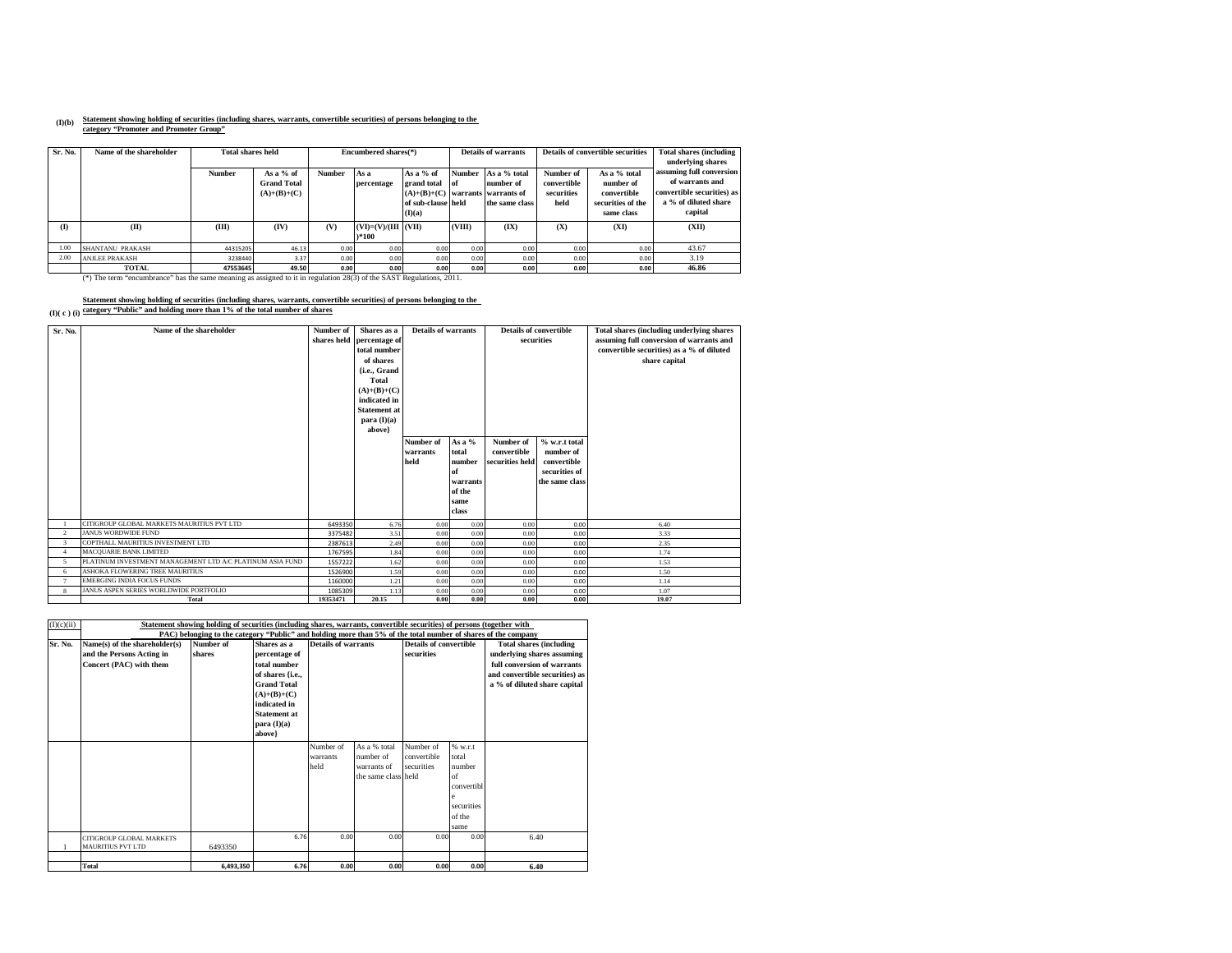# **(I)(b) Statement showing holding of securities (including shares, warrants, convertible securities) of persons belonging to the category "Promoter and Promoter Group"**

| Sr. No.      | Name of the shareholder                                                                                                   | <b>Total shares held</b> |                                     |               | <b>Details of warrants</b><br>Encumbered shares(*) |                              |        | Details of convertible securities | <b>Total shares (including)</b><br>underlying shares |                          |                                             |
|--------------|---------------------------------------------------------------------------------------------------------------------------|--------------------------|-------------------------------------|---------------|----------------------------------------------------|------------------------------|--------|-----------------------------------|------------------------------------------------------|--------------------------|---------------------------------------------|
|              |                                                                                                                           | <b>Number</b>            | As a $%$ of                         | <b>Number</b> | As a                                               | As a $%$ of                  | Number | As a % total                      | Number of                                            | As a % total             | assuming full conversion<br>of warrants and |
|              |                                                                                                                           |                          | <b>Grand Total</b><br>$(A)+(B)+(C)$ |               | percentage                                         | grand total<br>$(A)+(B)+(C)$ | l of   | number of<br>warrants warrants of | convertible<br>securities                            | number of<br>convertible | convertible securities) as                  |
|              |                                                                                                                           |                          |                                     |               |                                                    | of sub-clause held           |        | the same class                    | held                                                 | securities of the        | a % of diluted share                        |
|              |                                                                                                                           |                          |                                     |               |                                                    | (I)(a)                       |        |                                   |                                                      | same class               | capital                                     |
| $\mathbf{I}$ | (II)                                                                                                                      | (III)                    | (IV)                                | (V)           | $(VD=VV)/(III$ $ (VII) $                           |                              | (VIII) | (IX)                              | (X)                                                  | (XI)                     | (XII)                                       |
|              |                                                                                                                           |                          |                                     |               | $*100$                                             |                              |        |                                   |                                                      |                          |                                             |
| 1.00         | <b>SHANTANU PRAKASH</b>                                                                                                   | 44315205                 | 46.13                               | 0.00          | 0.00                                               | 0.00                         | 0.00   | 0.00                              | 0.00                                                 | 0.00                     | 43.67                                       |
| 2.00         | <b>ANJLEE PRAKASH</b>                                                                                                     | 3238440                  | 3.37                                | 0.00          | 0.00                                               | 0.00                         | 0.00   | 0.00                              | 0.00                                                 | 0.00                     | 3.19                                        |
|              | <b>TOTAL</b>                                                                                                              | 47553645                 | 49.50                               | 0.00          | 0.00                                               | 0.00                         | 0.00   | 0.00                              | 0.00                                                 | 0.00                     | 46.86                                       |
|              | (*) The term "encumbrance" has the same meaning as assigned to it in regulation $28(3)$ of the SAST Regulations, $2011$ . |                          |                                     |               |                                                    |                              |        |                                   |                                                      |                          |                                             |

#### **(I)( c ) (i) Statement showing holding of securities (including shares, warrants, convertible securities) of persons belonging to the category "Public" and holding more than 1% of the total number of shares**

| Sr. No.        | Name of the shareholder                                   | Number of | Shares as a<br>shares held percentage of<br>total number<br>of shares<br>{i.e., Grand<br>Total<br>$(A)+(B)+(C)$<br>indicated in<br><b>Statement</b> at<br>para $(I)(a)$<br>above} | Details of warrants<br>As a %<br>Number of<br>total<br>warrants<br>held<br>number<br>of<br>warrants<br>of the<br>same<br>class |      | Details of convertible<br>securities<br>% w.r.t total<br>Number of<br>convertible<br>number of<br>convertible<br>securities held<br>securities of<br>the same class |      | Total shares (including underlying shares<br>assuming full conversion of warrants and<br>convertible securities) as a % of diluted<br>share capital |
|----------------|-----------------------------------------------------------|-----------|-----------------------------------------------------------------------------------------------------------------------------------------------------------------------------------|--------------------------------------------------------------------------------------------------------------------------------|------|---------------------------------------------------------------------------------------------------------------------------------------------------------------------|------|-----------------------------------------------------------------------------------------------------------------------------------------------------|
|                | CITIGROUP GLOBAL MARKETS MAURITIUS PVT LTD                | 6493350   | 6.76                                                                                                                                                                              | 0.00                                                                                                                           | 0.00 | 0.00                                                                                                                                                                | 0.00 | 6.40                                                                                                                                                |
| $\overline{2}$ | <b>JANUS WORDWIDE FUND</b>                                | 3375482   | 3.51                                                                                                                                                                              | 0.00                                                                                                                           | 0.00 | 0.00                                                                                                                                                                | 0.00 | 3.33                                                                                                                                                |
| $\overline{3}$ | COPTHALL MAURITIUS INVESTMENT LTD                         | 2387613   | 2.49                                                                                                                                                                              | 0.00                                                                                                                           | 0.00 | 0.00                                                                                                                                                                | 0.00 | 2.35                                                                                                                                                |
| $\overline{4}$ | <b>MACQUARIE BANK LIMITED</b>                             | 1767595   | 1.84                                                                                                                                                                              | 0.00                                                                                                                           | 0.00 | 0.00                                                                                                                                                                | 0.00 | 1.74                                                                                                                                                |
| 5              | PLATINUM INVESTMENT MANAGEMENT LTD A/C PLATINUM ASIA FUND | 1557222   | 1.62                                                                                                                                                                              | 0.00                                                                                                                           | 0.00 | 0.00                                                                                                                                                                | 0.00 | 1.53                                                                                                                                                |
| 6              | ASHOKA FLOWERING TREE MAURITIUS                           | 1526900   | 1.59                                                                                                                                                                              | 0.00                                                                                                                           | 0.00 | 0.00                                                                                                                                                                | 0.00 | 1.50                                                                                                                                                |
| $\mathcal{L}$  | <b>EMERGING INDIA FOCUS FUNDS</b>                         | 1160000   | 1.21                                                                                                                                                                              | 0.00                                                                                                                           | 0.00 | 0.00                                                                                                                                                                | 0.00 | 1.14                                                                                                                                                |
| 8              | JANUS ASPEN SERIES WORLDWIDE PORTFOLIO                    | 1085309   | 1.13                                                                                                                                                                              | 0.00                                                                                                                           | 0.00 | 0.00                                                                                                                                                                | 0.00 | 1.07                                                                                                                                                |
|                | Total                                                     | 19353471  | 20.15                                                                                                                                                                             | 0.00                                                                                                                           | 0.00 | 0.00                                                                                                                                                                | 0.00 | 19.07                                                                                                                                               |

| (I)(c)(ii) |                                                             | Statement showing holding of securities (including shares, warrants, convertible securities) of persons (together with |                     |                     |                     |                               |                  |                                |
|------------|-------------------------------------------------------------|------------------------------------------------------------------------------------------------------------------------|---------------------|---------------------|---------------------|-------------------------------|------------------|--------------------------------|
|            |                                                             | PAC) belonging to the category "Public" and holding more than 5% of the total number of shares of the company          |                     |                     |                     |                               |                  |                                |
| Sr. No.    | Name(s) of the shareholder(s)                               | Number of                                                                                                              | Shares as a         | Details of warrants |                     | <b>Details of convertible</b> |                  | <b>Total shares (including</b> |
|            | and the Persons Acting in                                   | shares                                                                                                                 | percentage of       |                     |                     | securities                    |                  | underlying shares assuming     |
|            | Concert (PAC) with them                                     |                                                                                                                        | total number        |                     |                     |                               |                  | full conversion of warrants    |
|            |                                                             |                                                                                                                        | of shares {i.e.,    |                     |                     |                               |                  | and convertible securities) as |
|            |                                                             |                                                                                                                        | <b>Grand Total</b>  |                     |                     |                               |                  | a % of diluted share capital   |
|            |                                                             |                                                                                                                        | $(A)+(B)+(C)$       |                     |                     |                               |                  |                                |
|            |                                                             |                                                                                                                        | indicated in        |                     |                     |                               |                  |                                |
|            |                                                             |                                                                                                                        | <b>Statement at</b> |                     |                     |                               |                  |                                |
|            |                                                             |                                                                                                                        | para $(I)(a)$       |                     |                     |                               |                  |                                |
|            |                                                             |                                                                                                                        | above}              |                     |                     |                               |                  |                                |
|            |                                                             |                                                                                                                        |                     | Number of           | As a % total        | Number of                     | % w.r.t          |                                |
|            |                                                             |                                                                                                                        |                     | warrants            | number of           | convertible                   | total            |                                |
|            |                                                             |                                                                                                                        |                     | held                | warrants of         | securities                    | number           |                                |
|            |                                                             |                                                                                                                        |                     |                     | the same class held |                               | of               |                                |
|            |                                                             |                                                                                                                        |                     |                     |                     |                               | convertibl       |                                |
|            |                                                             |                                                                                                                        |                     |                     |                     |                               | e.<br>securities |                                |
|            |                                                             |                                                                                                                        |                     |                     |                     |                               | of the           |                                |
|            |                                                             |                                                                                                                        |                     |                     |                     |                               |                  |                                |
|            |                                                             |                                                                                                                        | 6.76                | 0.00                | 0.00                | 0.00                          | same<br>0.00     | 6.40                           |
|            | <b>CITIGROUP GLOBAL MARKETS</b><br><b>MAURITIUS PVT LTD</b> | 6493350                                                                                                                |                     |                     |                     |                               |                  |                                |
|            |                                                             |                                                                                                                        |                     |                     |                     |                               |                  |                                |
|            | Total                                                       | 6,493,350                                                                                                              | 6.76                | 0.00                | 0.00                | 0.00                          | 0.00             | 6.40                           |